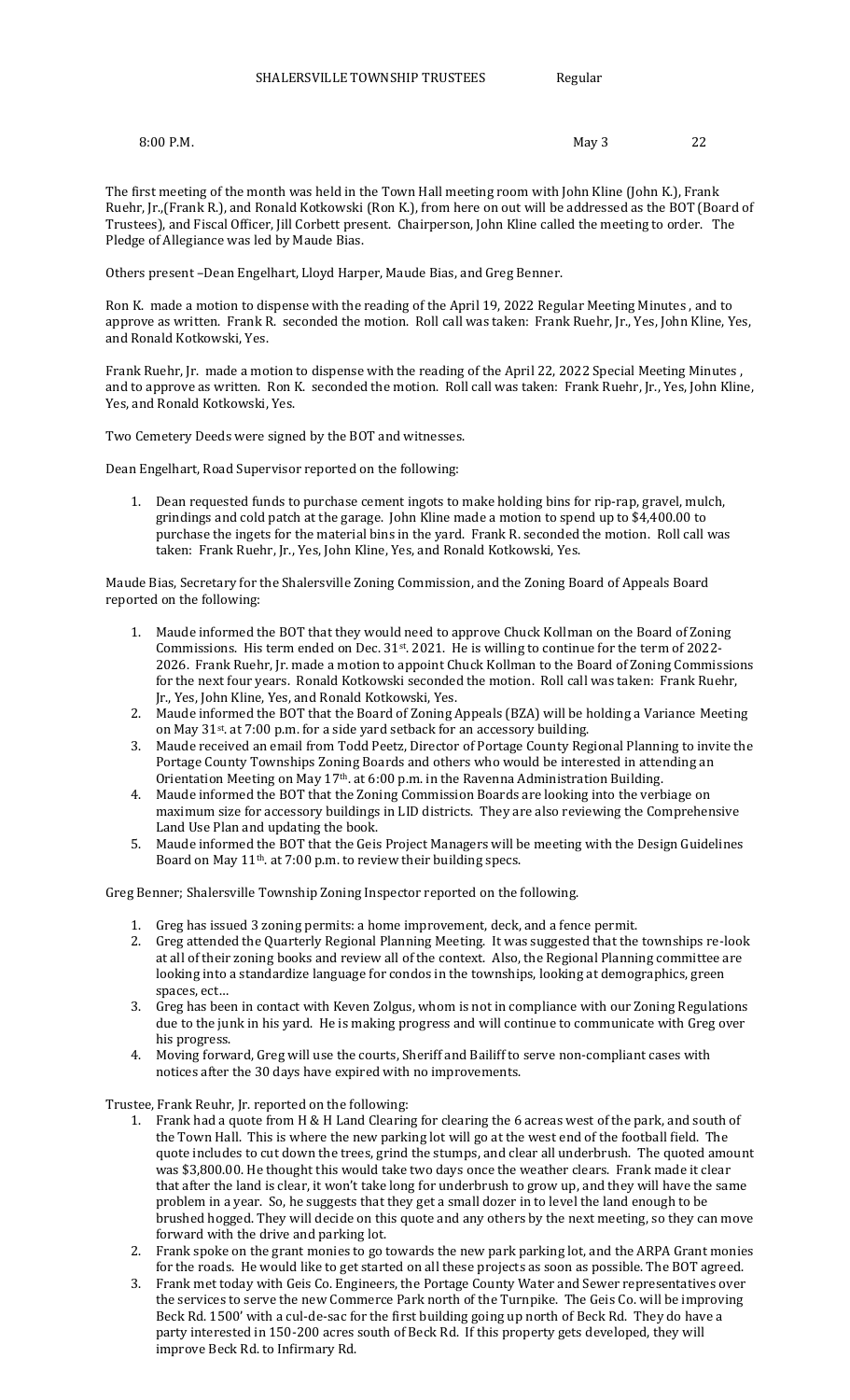8:00 P.M. 22

The first meeting of the month was held in the Town Hall meeting room with John Kline (John K.), Frank Ruehr, Jr.,(Frank R.), and Ronald Kotkowski (Ron K.), from here on out will be addressed as the BOT (Board of Trustees), and Fiscal Officer, Jill Corbett present. Chairperson, John Kline called the meeting to order. The Pledge of Allegiance was led by Maude Bias.

Others present –Dean Engelhart, Lloyd Harper, Maude Bias, and Greg Benner.

Ron K. made a motion to dispense with the reading of the April 19, 2022 Regular Meeting Minutes , and to approve as written. Frank R. seconded the motion. Roll call was taken: Frank Ruehr, Jr., Yes, John Kline, Yes, and Ronald Kotkowski, Yes.

Frank Ruehr, Jr. made a motion to dispense with the reading of the April 22, 2022 Special Meeting Minutes , and to approve as written. Ron K. seconded the motion. Roll call was taken: Frank Ruehr, Jr., Yes, John Kline, Yes, and Ronald Kotkowski, Yes.

Two Cemetery Deeds were signed by the BOT and witnesses.

Dean Engelhart, Road Supervisor reported on the following:

1. Dean requested funds to purchase cement ingots to make holding bins for rip-rap, gravel, mulch, grindings and cold patch at the garage. John Kline made a motion to spend up to \$4,400.00 to purchase the ingets for the material bins in the yard. Frank R. seconded the motion. Roll call was taken: Frank Ruehr, Jr., Yes, John Kline, Yes, and Ronald Kotkowski, Yes.

Maude Bias, Secretary for the Shalersville Zoning Commission, and the Zoning Board of Appeals Board reported on the following:

- 1. Maude informed the BOT that they would need to approve Chuck Kollman on the Board of Zoning Commissions. His term ended on Dec.  $31^{st}$ . 2021. He is willing to continue for the term of 2022-2026. Frank Ruehr, Jr. made a motion to appoint Chuck Kollman to the Board of Zoning Commissions for the next four years. Ronald Kotkowski seconded the motion. Roll call was taken: Frank Ruehr, Jr., Yes, John Kline, Yes, and Ronald Kotkowski, Yes.
- 2. Maude informed the BOT that the Board of Zoning Appeals (BZA) will be holding a Variance Meeting on May 31st. at 7:00 p.m. for a side yard setback for an accessory building.
- 3. Maude received an email from Todd Peetz, Director of Portage County Regional Planning to invite the Portage County Townships Zoning Boards and others who would be interested in attending an Orientation Meeting on May 17<sup>th</sup>. at 6:00 p.m. in the Ravenna Administration Building.
- 4. Maude informed the BOT that the Zoning Commission Boards are looking into the verbiage on maximum size for accessory buildings in LID districts. They are also reviewing the Comprehensive Land Use Plan and updating the book.
- 5. Maude informed the BOT that the Geis Project Managers will be meeting with the Design Guidelines Board on May 11th. at 7:00 p.m. to review their building specs.

Greg Benner; Shalersville Township Zoning Inspector reported on the following.

- 1. Greg has issued 3 zoning permits: a home improvement, deck, and a fence permit.
- 2. Greg attended the Quarterly Regional Planning Meeting. It was suggested that the townships re-look at all of their zoning books and review all of the context. Also, the Regional Planning committee are looking into a standardize language for condos in the townships, looking at demographics, green spaces, ect…
- 3. Greg has been in contact with Keven Zolgus, whom is not in compliance with our Zoning Regulations due to the junk in his yard. He is making progress and will continue to communicate with Greg over his progress.
- 4. Moving forward, Greg will use the courts, Sheriff and Bailiff to serve non-compliant cases with notices after the 30 days have expired with no improvements.

Trustee, Frank Reuhr, Jr. reported on the following:

- 1. Frank had a quote from H & H Land Clearing for clearing the 6 acreas west of the park, and south of the Town Hall. This is where the new parking lot will go at the west end of the football field. The quote includes to cut down the trees, grind the stumps, and clear all underbrush. The quoted amount was \$3,800.00. He thought this would take two days once the weather clears. Frank made it clear that after the land is clear, it won't take long for underbrush to grow up, and they will have the same problem in a year. So, he suggests that they get a small dozer in to level the land enough to be brushed hogged. They will decide on this quote and any others by the next meeting, so they can move forward with the drive and parking lot.
- 2. Frank spoke on the grant monies to go towards the new park parking lot, and the ARPA Grant monies for the roads. He would like to get started on all these projects as soon as possible. The BOT agreed.
- 3. Frank met today with Geis Co. Engineers, the Portage County Water and Sewer representatives over the services to serve the new Commerce Park north of the Turnpike. The Geis Co. will be improving Beck Rd. 1500' with a cul-de-sac for the first building going up north of Beck Rd. They do have a party interested in 150-200 acres south of Beck Rd. If this property gets developed, they will improve Beck Rd. to Infirmary Rd.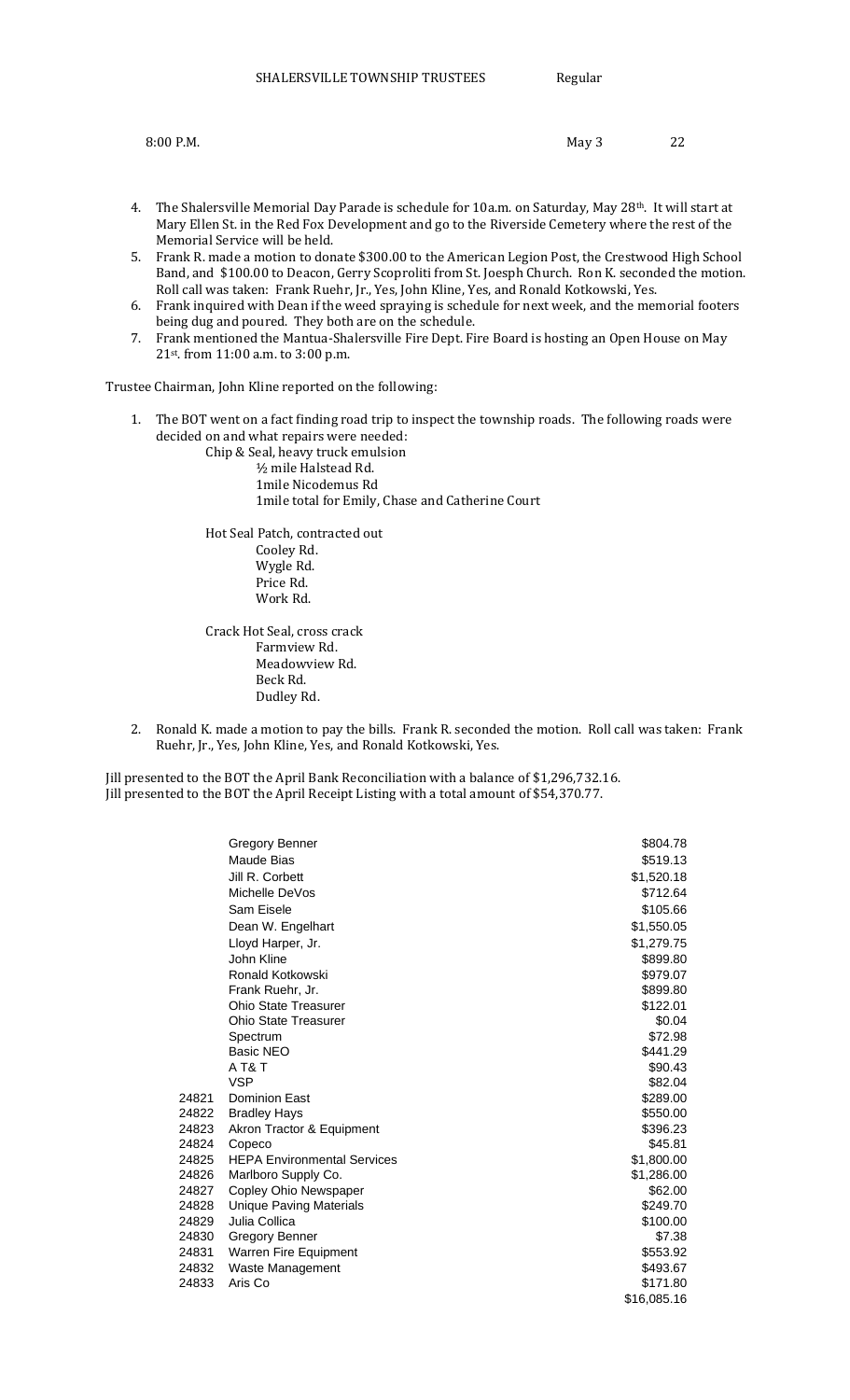| 8:00 P.M. | May 3 | 22 |
|-----------|-------|----|
|           |       |    |

- 4. The Shalersville Memorial Day Parade is schedule for 10a.m. on Saturday, May 28<sup>th</sup>. It will start at Mary Ellen St. in the Red Fox Development and go to the Riverside Cemetery where the rest of the Memorial Service will be held.
- 5. Frank R. made a motion to donate \$300.00 to the American Legion Post, the Crestwood High School Band, and \$100.00 to Deacon, Gerry Scoproliti from St. Joesph Church. Ron K. seconded the motion. Roll call was taken: Frank Ruehr, Jr., Yes, John Kline, Yes, and Ronald Kotkowski, Yes.
- 6. Frank inquired with Dean if the weed spraying is schedule for next week, and the memorial footers being dug and poured. They both are on the schedule.
- 7. Frank mentioned the Mantua-Shalersville Fire Dept. Fire Board is hosting an Open House on May 21st. from 11:00 a.m. to 3:00 p.m.

Trustee Chairman, John Kline reported on the following:

1. The BOT went on a fact finding road trip to inspect the township roads. The following roads were decided on and what repairs were needed:

Chip & Seal, heavy truck emulsion ½ mile Halstead Rd. 1mile Nicodemus Rd 1mile total for Emily, Chase and Catherine Court

Hot Seal Patch, contracted out Cooley Rd. Wygle Rd. Price Rd. Work Rd.

Crack Hot Seal, cross crack Farmview Rd. Meadowview Rd. Beck Rd. Dudley Rd.

2. Ronald K. made a motion to pay the bills. Frank R. seconded the motion. Roll call was taken: Frank Ruehr, Jr., Yes, John Kline, Yes, and Ronald Kotkowski, Yes.

Jill presented to the BOT the April Bank Reconciliation with a balance of \$1,296,732.16. Jill presented to the BOT the April Receipt Listing with a total amount of \$54,370.77.

|       | Gregory Benner                     | \$804.78    |
|-------|------------------------------------|-------------|
|       | Maude Bias                         | \$519.13    |
|       | Jill R. Corbett                    | \$1,520.18  |
|       | Michelle DeVos                     | \$712.64    |
|       | Sam Eisele                         | \$105.66    |
|       | Dean W. Engelhart                  | \$1,550.05  |
|       | Lloyd Harper, Jr.                  | \$1,279.75  |
|       | John Kline                         | \$899.80    |
|       | Ronald Kotkowski                   | \$979.07    |
|       | Frank Ruehr, Jr.                   | \$899.80    |
|       | <b>Ohio State Treasurer</b>        | \$122.01    |
|       | <b>Ohio State Treasurer</b>        | \$0.04      |
|       | Spectrum                           | \$72.98     |
|       | <b>Basic NEO</b>                   | \$441.29    |
|       | AT&T                               | \$90.43     |
|       | <b>VSP</b>                         | \$82.04     |
| 24821 | <b>Dominion East</b>               | \$289.00    |
| 24822 | <b>Bradley Hays</b>                | \$550.00    |
| 24823 | Akron Tractor & Equipment          | \$396.23    |
| 24824 | Copeco                             | \$45.81     |
| 24825 | <b>HEPA Environmental Services</b> | \$1,800.00  |
| 24826 | Marlboro Supply Co.                | \$1,286.00  |
| 24827 | Copley Ohio Newspaper              | \$62.00     |
| 24828 | <b>Unique Paving Materials</b>     | \$249.70    |
| 24829 | Julia Collica                      | \$100.00    |
| 24830 | Gregory Benner                     | \$7.38      |
| 24831 | Warren Fire Equipment              | \$553.92    |
| 24832 | Waste Management                   | \$493.67    |
| 24833 | Aris Co                            | \$171.80    |
|       |                                    | \$16,085.16 |